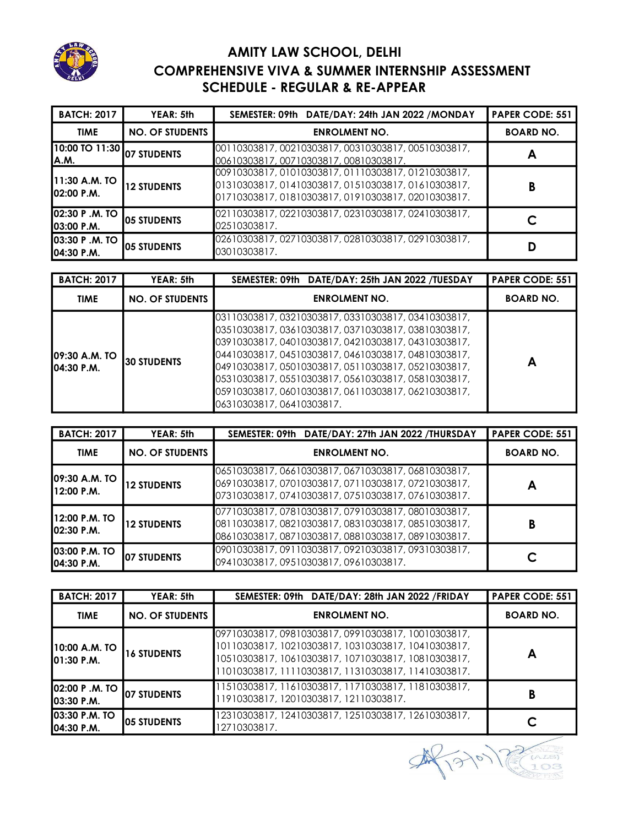

## AMITY LAW SCHOOL, DELHI COMPREHENSIVE VIVA & SUMMER INTERNSHIP ASSESSMENT SCHEDULE - REGULAR & RE-APPEAR

| <b>BATCH: 2017</b>                   | YEAR: 5th              | SEMESTER: 09th DATE/DAY: 24th JAN 2022 /MONDAY                                                                                                              | <b>PAPER CODE: 551</b> |
|--------------------------------------|------------------------|-------------------------------------------------------------------------------------------------------------------------------------------------------------|------------------------|
| <b>TIME</b>                          | <b>NO. OF STUDENTS</b> | <b>ENROLMENT NO.</b>                                                                                                                                        | <b>BOARD NO.</b>       |
| 10:00 TO 11:30<br>A.M.               | 07 STUDENTS            | 00110303817,00210303817,00310303817,00510303817,<br>00610303817,00710303817,00810303817.                                                                    | A                      |
| 11:30 A.M. TO<br><b>102:00 P.M.</b>  | <b>12 STUDENTS</b>     | 00910303817,01010303817,01110303817,01210303817,<br>01310303817, 01410303817, 01510303817, 01610303817,<br>01710303817,01810303817,01910303817,02010303817. | В                      |
| 02:30 P .M. TO<br><b>103:00 P.M.</b> | <b>IO5 STUDENTS</b>    | 02110303817,02210303817,02310303817,02410303817,<br>02510303817.                                                                                            |                        |
| <b>03:30 P.M. TO</b><br>04:30 P.M.   | <b>I</b> O5 STUDENTS   | 02610303817, 02710303817, 02810303817, 02910303817,<br>03010303817.                                                                                         |                        |

| <b>BATCH: 2017</b>            | YEAR: 5th              | SEMESTER: 09th DATE/DAY: 25th JAN 2022 /TUESDAY                                                                                                                                                                                                                                                                                                                                                                        | <b>PAPER CODE: 551</b> |
|-------------------------------|------------------------|------------------------------------------------------------------------------------------------------------------------------------------------------------------------------------------------------------------------------------------------------------------------------------------------------------------------------------------------------------------------------------------------------------------------|------------------------|
| <b>TIME</b>                   | <b>NO. OF STUDENTS</b> | <b>ENROLMENT NO.</b>                                                                                                                                                                                                                                                                                                                                                                                                   | <b>BOARD NO.</b>       |
| 109:30 A.M. TO<br>104:30 P.M. | 30 STUDENTS            | 03110303817, 03210303817, 03310303817, 03410303817,<br>03510303817, 03610303817, 03710303817, 03810303817,<br>03910303817, 04010303817, 04210303817, 04310303817,<br>04410303817, 04510303817, 04610303817, 04810303817,<br>04910303817, 05010303817, 05110303817, 05210303817,<br>05310303817, 05510303817, 05610303817, 05810303817,<br>05910303817,06010303817,06110303817,06210303817,<br>06310303817,06410303817. | Α                      |

| <b>BATCH: 2017</b>                   | YEAR: 5th              | SEMESTER: 09th DATE/DAY: 27th JAN 2022 /THURSDAY                                                                                                         | <b>PAPER CODE: 551</b> |
|--------------------------------------|------------------------|----------------------------------------------------------------------------------------------------------------------------------------------------------|------------------------|
| <b>TIME</b>                          | <b>NO. OF STUDENTS</b> | <b>ENROLMENT NO.</b>                                                                                                                                     | <b>BOARD NO.</b>       |
| 09:30 A.M. TO<br>12:00 P.M.          | <b>12 STUDENTS</b>     | 06510303817,06610303817,06710303817,06810303817,<br>06910303817,07010303817,07110303817,07210303817,<br>07310303817,07410303817,07510303817,07610303817. |                        |
| 112:00 P.M. TO<br><b>102:30 P.M.</b> | <b>12 STUDENTS</b>     | 07710303817,07810303817,07910303817,08010303817,<br>08110303817,08210303817,08310303817,08510303817,<br>08610303817,08710303817,08810303817,08910303817. | B                      |
| <b>03:00 P.M. TO</b><br>104:30 P.M.  | <b>1</b> 07 STUDENTS   | 09010303817,09110303817,09210303817,09310303817,<br>09410303817, 09510303817, 09610303817,                                                               |                        |

| <b>BATCH: 2017</b>                   | YEAR: 5th              | SEMESTER: 09th DATE/DAY: 28th JAN 2022 / FRIDAY                                                                                                                                                                       | <b>PAPER CODE: 551</b> |
|--------------------------------------|------------------------|-----------------------------------------------------------------------------------------------------------------------------------------------------------------------------------------------------------------------|------------------------|
| <b>TIME</b>                          | <b>NO. OF STUDENTS</b> | <b>ENROLMENT NO.</b>                                                                                                                                                                                                  | <b>BOARD NO.</b>       |
| 10:00 A.M. TO<br>101:30 P.M.         | <b>16 STUDENTS</b>     | 09710303817,09810303817,09910303817,10010303817,<br>10110303817, 10210303817, 10310303817, 10410303817,<br>10510303817, 10610303817, 10710303817, 10810303817,<br>11010303817, 11110303817, 11310303817, 11410303817. | Α                      |
| <b>02:00 P.M. TO 1</b><br>03:30 P.M. | <b>1</b> 07 STUDENTS   | 11510303817, 11610303817, 11710303817, 11810303817,<br>11910303817, 12010303817, 12110303817.                                                                                                                         | В                      |
| <b>03:30 P.M. TO</b><br>04:30 P.M.   | <b>105 STUDENTS</b>    | 12310303817, 12410303817, 12510303817, 12610303817,<br>12710303817.                                                                                                                                                   |                        |

 $\mathcal{F}$ 10  $\mathscr{P}$ O3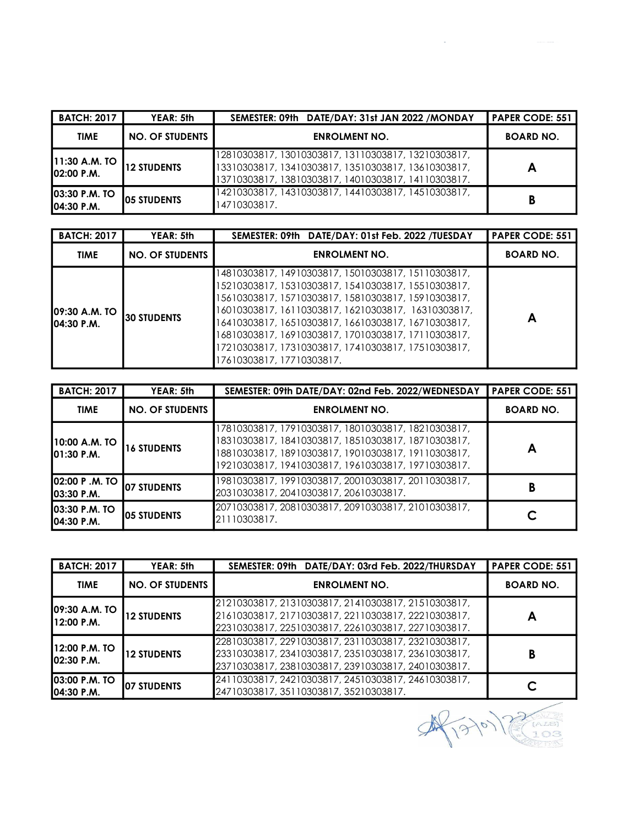| <b>BATCH: 2017</b>                        | YEAR: 5th              | SEMESTER: 09th DATE/DAY: 31st JAN 2022 /MONDAY                                                                                                                    | <b>PAPER CODE: 551</b> |
|-------------------------------------------|------------------------|-------------------------------------------------------------------------------------------------------------------------------------------------------------------|------------------------|
| <b>TIME</b>                               | <b>NO. OF STUDENTS</b> | <b>ENROLMENT NO.</b>                                                                                                                                              | <b>BOARD NO.</b>       |
| <b>11:30 A.M. TO</b><br><b>02:00 P.M.</b> | <b>12 STUDENTS</b>     | 12810303817, 13010303817, 13110303817, 13210303817,<br>13310303817, 13410303817, 13510303817, 13610303817,<br>13710303817, 13810303817, 14010303817, 14110303817. | А                      |
| <b>03:30 P.M. TO</b><br>04:30 P.M.        | <b>IO5 STUDENTS</b>    | 14210303817, 14310303817, 14410303817, 14510303817,<br>14710303817.                                                                                               | В                      |

| <b>BATCH: 2017</b>                   | YEAR: 5th              | SEMESTER: 09th DATE/DAY: 01st Feb. 2022 /TUESDAY                                                                                                                                                                                                                                                                                                                                                                           | <b>PAPER CODE: 551</b> |
|--------------------------------------|------------------------|----------------------------------------------------------------------------------------------------------------------------------------------------------------------------------------------------------------------------------------------------------------------------------------------------------------------------------------------------------------------------------------------------------------------------|------------------------|
| <b>TIME</b>                          | <b>NO. OF STUDENTS</b> | <b>ENROLMENT NO.</b>                                                                                                                                                                                                                                                                                                                                                                                                       | <b>BOARD NO.</b>       |
| <b>109:30 A.M. TO</b><br>104:30 P.M. | I30 STUDENTS           | 14810303817, 14910303817, 15010303817, 15110303817,<br>15210303817, 15310303817, 15410303817, 15510303817,<br>15610303817, 15710303817, 15810303817, 15910303817,<br>16010303817, 16110303817, 16210303817, 16310303817,<br>16410303817, 16510303817, 16610303817, 16710303817,<br>16810303817, 16910303817, 17010303817, 17110303817,<br>17210303817, 17310303817, 17410303817, 17510303817,<br>17610303817, 17710303817. | Α                      |

| <b>BATCH: 2017</b>                         | YEAR: 5th              | SEMESTER: 09th DATE/DAY: 02nd Feb. 2022/WEDNESDAY                                                                                                                                                                        | <b>PAPER CODE: 551</b> |
|--------------------------------------------|------------------------|--------------------------------------------------------------------------------------------------------------------------------------------------------------------------------------------------------------------------|------------------------|
| <b>TIME</b>                                | <b>NO. OF STUDENTS</b> | <b>ENROLMENT NO.</b>                                                                                                                                                                                                     | <b>BOARD NO.</b>       |
| 10:00 A.M. TO<br>01:30 P.M.                | <b>16 STUDENTS</b>     | 17810303817, 17910303817, 18010303817, 18210303817,<br>18310303817, 18410303817, 18510303817, 18710303817,<br>18810303817, 18910303817, 19010303817, 19110303817,<br>19210303817, 19410303817, 19610303817, 19710303817. | Α                      |
| <b>02:00 P.M. TO</b><br><b>103:30 P.M.</b> | <b>107 STUDENTS</b>    | 19810303817, 19910303817, 20010303817, 20110303817,<br>20310303817, 20410303817, 20610303817.                                                                                                                            | В                      |
| <b>03:30 P.M. TO</b><br>104:30 P.M.        | <b>IO5 STUDENTS</b>    | 20710303817, 20810303817, 20910303817, 21010303817,<br>21110303817.                                                                                                                                                      |                        |

| <b>BATCH: 2017</b>                 | YEAR: 5th              | SEMESTER: 09th DATE/DAY: 03rd Feb. 2022/THURSDAY                                                                                                                  | <b>PAPER CODE: 551</b> |
|------------------------------------|------------------------|-------------------------------------------------------------------------------------------------------------------------------------------------------------------|------------------------|
| <b>TIME</b>                        | <b>NO. OF STUDENTS</b> | <b>ENROLMENT NO.</b>                                                                                                                                              | <b>BOARD NO.</b>       |
| 109:30 A.M. TO<br>112:00 P.M.      | <b>12 STUDENTS</b>     | 21210303817, 21310303817, 21410303817, 21510303817,<br>21610303817, 21710303817, 22110303817, 22210303817,<br>22310303817, 22510303817, 22610303817, 22710303817. |                        |
| 12:00 P.M. TO<br>02:30 P.M.        | <b>12 STUDENTS</b>     | 22810303817, 22910303817, 23110303817, 23210303817,<br>23310303817, 23410303817, 23510303817, 23610303817,<br>23710303817, 23810303817, 23910303817, 24010303817. | В                      |
| <b>03:00 P.M. TO</b><br>04:30 P.M. | <b>IO7 STUDENTS</b>    | 24110303817, 24210303817, 24510303817, 24610303817,<br>24710303817, 35110303817, 35210303817.                                                                     |                        |



 $\label{eq:2.1} \frac{1}{\sqrt{2\pi}}\int_{0}^{\infty}\frac{1}{\sqrt{2\pi}}\left(\frac{1}{\sqrt{2\pi}}\int_{0}^{\infty}\frac{1}{\sqrt{2\pi}}\left(\frac{1}{\sqrt{2\pi}}\int_{0}^{\infty}\frac{1}{\sqrt{2\pi}}\right)\frac{1}{\sqrt{2\pi}}\right)\frac{1}{\sqrt{2\pi}}\frac{1}{\sqrt{2\pi}}\frac{1}{\sqrt{2\pi}}\frac{1}{\sqrt{2\pi}}\frac{1}{\sqrt{2\pi}}\frac{1}{\sqrt{2\pi}}\frac{1}{\sqrt{2\pi}}\frac{1}{\sqrt{$